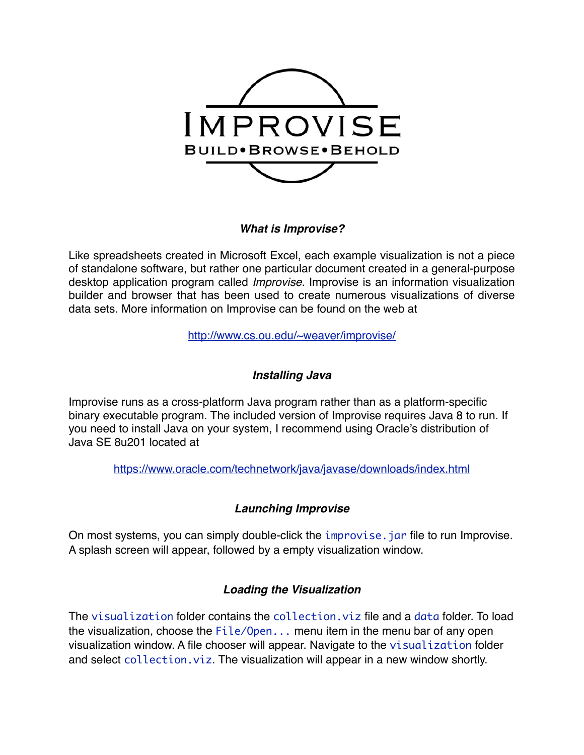

## *What is Improvise?*

Like spreadsheets created in Microsoft Excel, each example visualization is not a piece of standalone software, but rather one particular document created in a general-purpose desktop application program called *Improvise*. Improvise is an information visualization builder and browser that has been used to create numerous visualizations of diverse data sets. More information on Improvise can be found on the web at

<http://www.cs.ou.edu/~weaver/improvise/>

# *Installing Java*

Improvise runs as a cross-platform Java program rather than as a platform-specific binary executable program. The included version of Improvise requires Java 8 to run. If you need to install Java on your system, I recommend using Oracle's distribution of Java SE 8u201 located at

<https://www.oracle.com/technetwork/java/javase/downloads/index.html>

## *Launching Improvise*

On most systems, you can simply double-click the improvise. jar file to run Improvise. A splash screen will appear, followed by a empty visualization window.

## *Loading the Visualization*

The visualization folder contains the collection.viz file and a data folder. To load the visualization, choose the  $File/Open...$  menu item in the menu bar of any open visualization window. A file chooser will appear. Navigate to the visualization folder and select collection. viz. The visualization will appear in a new window shortly.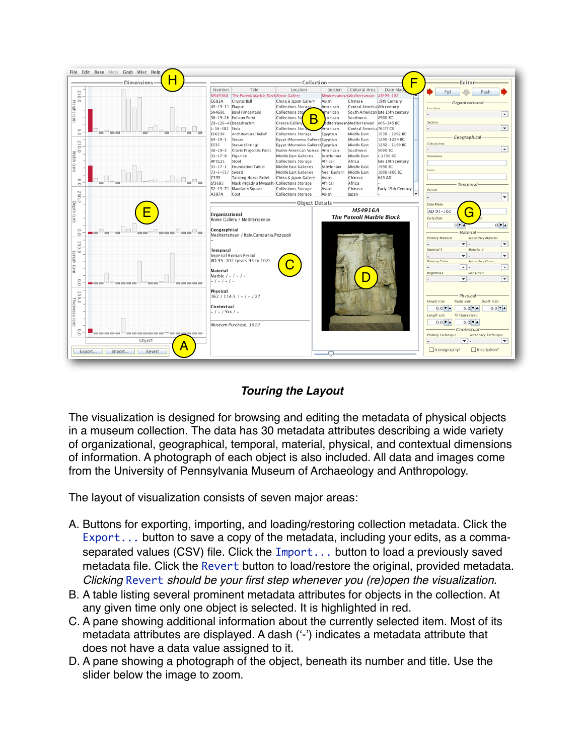

## *Touring the Layout*

The visualization is designed for browsing and editing the metadata of physical objects in a museum collection. The data has 30 metadata attributes describing a wide variety of organizational, geographical, temporal, material, physical, and contextual dimensions of information. A photograph of each object is also included. All data and images come from the University of Pennsylvania Museum of Archaeology and Anthropology.

The layout of visualization consists of seven major areas:

- A. Buttons for exporting, importing, and loading/restoring collection metadata. Click the Export... button to save a copy of the metadata, including your edits, as a commaseparated values (CSV) file. Click the Import... button to load a previously saved metadata file. Click the Revert button to load/restore the original, provided metadata. *Clicking* Revert *should be your first step whenever you (re)open the visualization.*
- B. A table listing several prominent metadata attributes for objects in the collection. At any given time only one object is selected. It is highlighted in red.
- C. A pane showing additional information about the currently selected item. Most of its metadata attributes are displayed. A dash ('-') indicates a metadata attribute that does not have a data value assigned to it.
- D. A pane showing a photograph of the object, beneath its number and title. Use the slider below the image to zoom.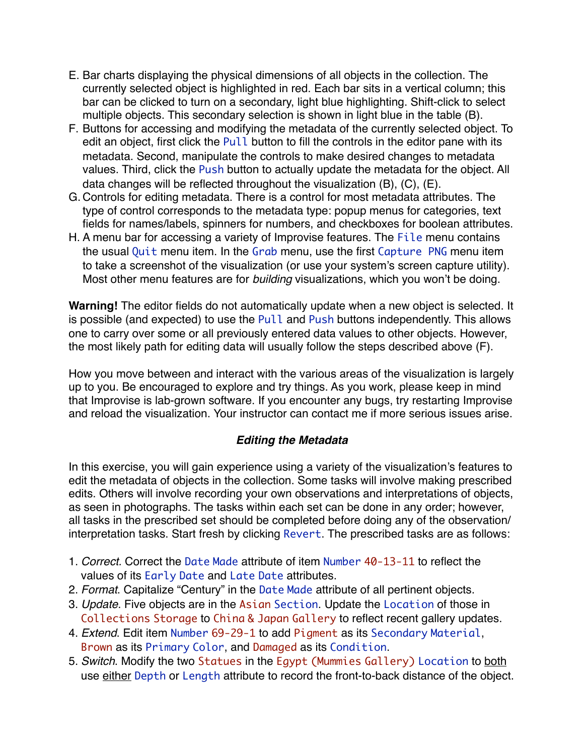- E. Bar charts displaying the physical dimensions of all objects in the collection. The currently selected object is highlighted in red. Each bar sits in a vertical column; this bar can be clicked to turn on a secondary, light blue highlighting. Shift-click to select multiple objects. This secondary selection is shown in light blue in the table (B).
- F. Buttons for accessing and modifying the metadata of the currently selected object. To edit an object, first click the Pull button to fill the controls in the editor pane with its metadata. Second, manipulate the controls to make desired changes to metadata values. Third, click the Push button to actually update the metadata for the object. All data changes will be reflected throughout the visualization (B), (C), (E).
- G. Controls for editing metadata. There is a control for most metadata attributes. The type of control corresponds to the metadata type: popup menus for categories, text fields for names/labels, spinners for numbers, and checkboxes for boolean attributes.
- H. A menu bar for accessing a variety of Improvise features. The File menu contains the usual Quit menu item. In the Grab menu, use the first Capture PNG menu item to take a screenshot of the visualization (or use your system's screen capture utility). Most other menu features are for *building* visualizations, which you won't be doing.

**Warning!** The editor fields do not automatically update when a new object is selected. It is possible (and expected) to use the Pull and Push buttons independently. This allows one to carry over some or all previously entered data values to other objects. However, the most likely path for editing data will usually follow the steps described above (F).

How you move between and interact with the various areas of the visualization is largely up to you. Be encouraged to explore and try things. As you work, please keep in mind that Improvise is lab-grown software. If you encounter any bugs, try restarting Improvise and reload the visualization. Your instructor can contact me if more serious issues arise.

## *Editing the Metadata*

In this exercise, you will gain experience using a variety of the visualization's features to edit the metadata of objects in the collection. Some tasks will involve making prescribed edits. Others will involve recording your own observations and interpretations of objects, as seen in photographs. The tasks within each set can be done in any order; however, all tasks in the prescribed set should be completed before doing any of the observation/ interpretation tasks. Start fresh by clicking Revert. The prescribed tasks are as follows:

- 1. *Correct.* Correct the Date Made attribute of item Number 40-13-11 to reflect the values of its Early Date and Late Date attributes.
- 2. *Format*. Capitalize "Century" in the Date Made attribute of all pertinent objects.
- 3. *Update*. Five objects are in the Asian Section. Update the Location of those in Collections Storage to China & Japan Gallery to reflect recent gallery updates.
- 4. *Extend*. Edit item Number 69-29-1 to add Pigment as its Secondary Material, Brown as its Primary Color, and Damaged as its Condition.
- 5. *Switch*. Modify the two Statues in the Egypt (Mummies Gallery) Location to both use either Depth or Length attribute to record the front-to-back distance of the object.